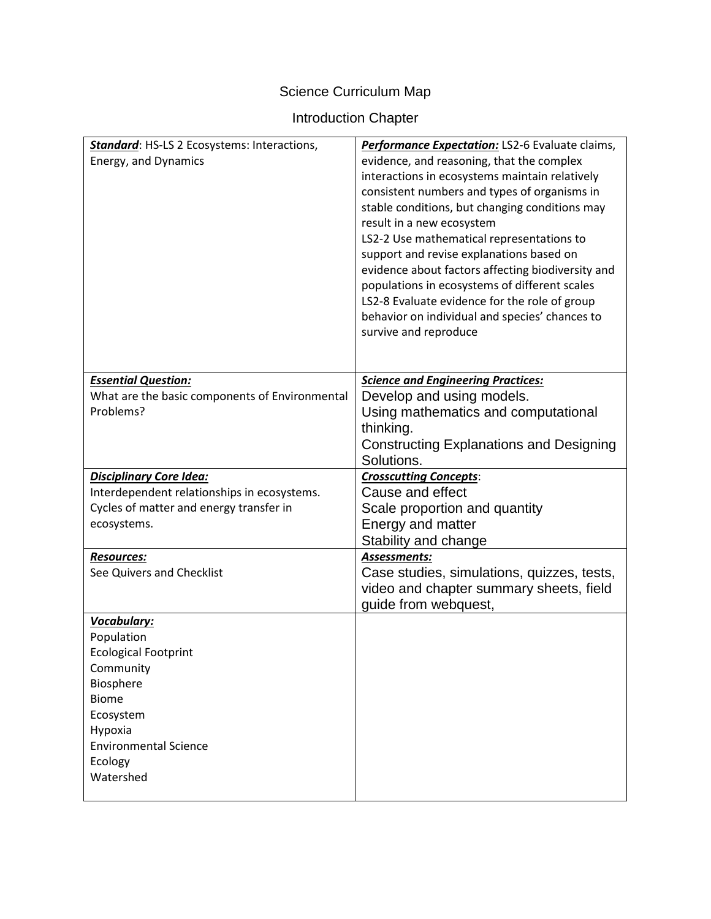# Science Curriculum Map

# Introduction Chapter

| Standard: HS-LS 2 Ecosystems: Interactions,<br>Energy, and Dynamics                                                                                                                | Performance Expectation: LS2-6 Evaluate claims,<br>evidence, and reasoning, that the complex<br>interactions in ecosystems maintain relatively<br>consistent numbers and types of organisms in<br>stable conditions, but changing conditions may<br>result in a new ecosystem<br>LS2-2 Use mathematical representations to<br>support and revise explanations based on<br>evidence about factors affecting biodiversity and<br>populations in ecosystems of different scales<br>LS2-8 Evaluate evidence for the role of group<br>behavior on individual and species' chances to |
|------------------------------------------------------------------------------------------------------------------------------------------------------------------------------------|---------------------------------------------------------------------------------------------------------------------------------------------------------------------------------------------------------------------------------------------------------------------------------------------------------------------------------------------------------------------------------------------------------------------------------------------------------------------------------------------------------------------------------------------------------------------------------|
|                                                                                                                                                                                    | survive and reproduce                                                                                                                                                                                                                                                                                                                                                                                                                                                                                                                                                           |
| <b>Essential Question:</b><br>What are the basic components of Environmental<br>Problems?                                                                                          | <b>Science and Engineering Practices:</b><br>Develop and using models.<br>Using mathematics and computational<br>thinking.<br><b>Constructing Explanations and Designing</b><br>Solutions.                                                                                                                                                                                                                                                                                                                                                                                      |
| <b>Disciplinary Core Idea:</b><br>Interdependent relationships in ecosystems.<br>Cycles of matter and energy transfer in<br>ecosystems.                                            | <b>Crosscutting Concepts:</b><br>Cause and effect<br>Scale proportion and quantity<br>Energy and matter<br>Stability and change                                                                                                                                                                                                                                                                                                                                                                                                                                                 |
| <b>Resources:</b><br>See Quivers and Checklist                                                                                                                                     | Assessments:<br>Case studies, simulations, quizzes, tests,<br>video and chapter summary sheets, field<br>guide from webquest,                                                                                                                                                                                                                                                                                                                                                                                                                                                   |
| Vocabulary:<br>Population<br><b>Ecological Footprint</b><br>Community<br>Biosphere<br><b>Biome</b><br>Ecosystem<br>Hypoxia<br><b>Environmental Science</b><br>Ecology<br>Watershed |                                                                                                                                                                                                                                                                                                                                                                                                                                                                                                                                                                                 |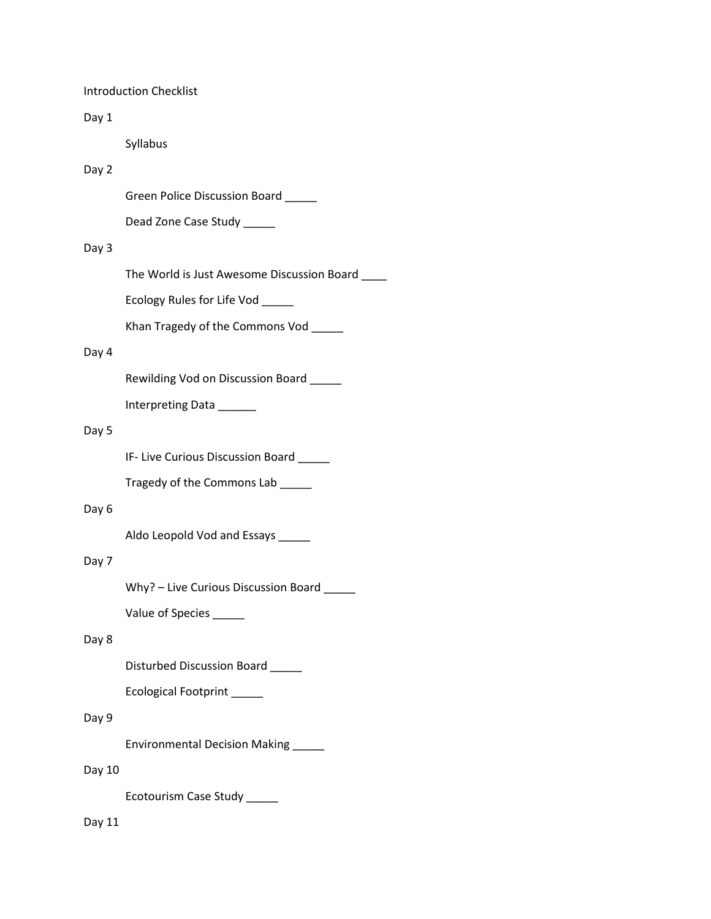Introduction Checklist

### Day 1

Syllabus

# Day 2

Green Police Discussion Board \_\_\_\_\_

Dead Zone Case Study \_\_\_\_\_

# Day 3

The World is Just Awesome Discussion Board \_\_\_\_

Ecology Rules for Life Vod \_\_\_\_\_

Khan Tragedy of the Commons Vod \_\_\_\_\_

# Day 4

Rewilding Vod on Discussion Board \_\_\_\_\_

Interpreting Data \_\_\_\_\_\_

#### Day 5

IF- Live Curious Discussion Board \_\_\_\_\_

Tragedy of the Commons Lab \_\_\_\_\_

# Day 6

Aldo Leopold Vod and Essays \_\_\_\_\_

# Day 7

Why? - Live Curious Discussion Board \_\_\_\_\_

Value of Species \_\_\_\_\_\_

# Day 8

Disturbed Discussion Board \_\_\_\_\_

Ecological Footprint \_\_\_\_\_

# Day 9

Environmental Decision Making \_\_\_\_\_

# Day 10

Ecotourism Case Study \_\_\_\_\_

# Day 11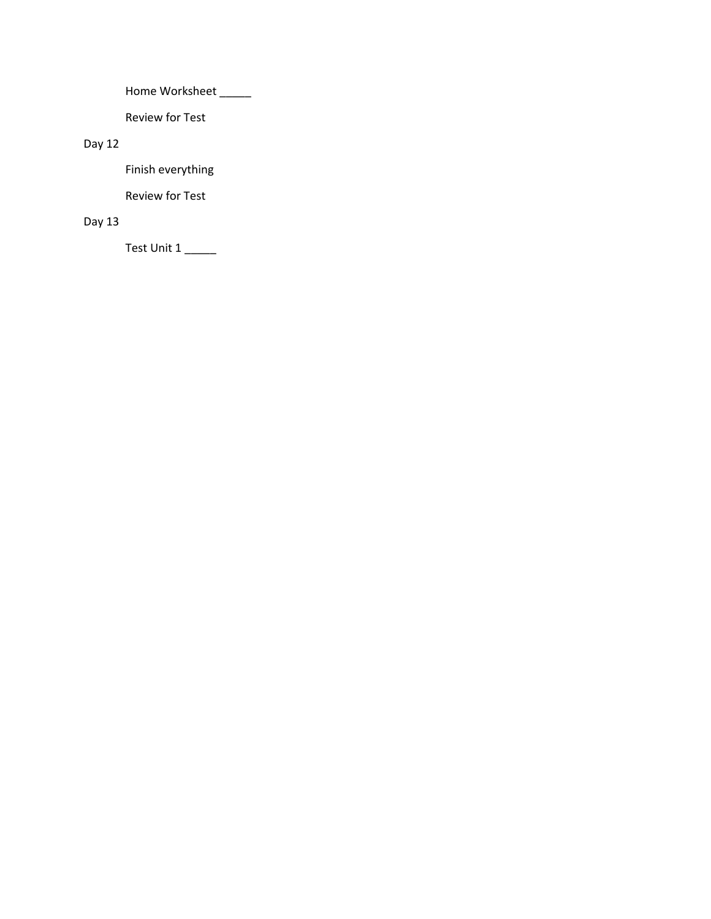Home Worksheet \_\_\_\_\_\_

Review for Test

# Day 12

Finish everything

Review for Test

# Day 13

Test Unit 1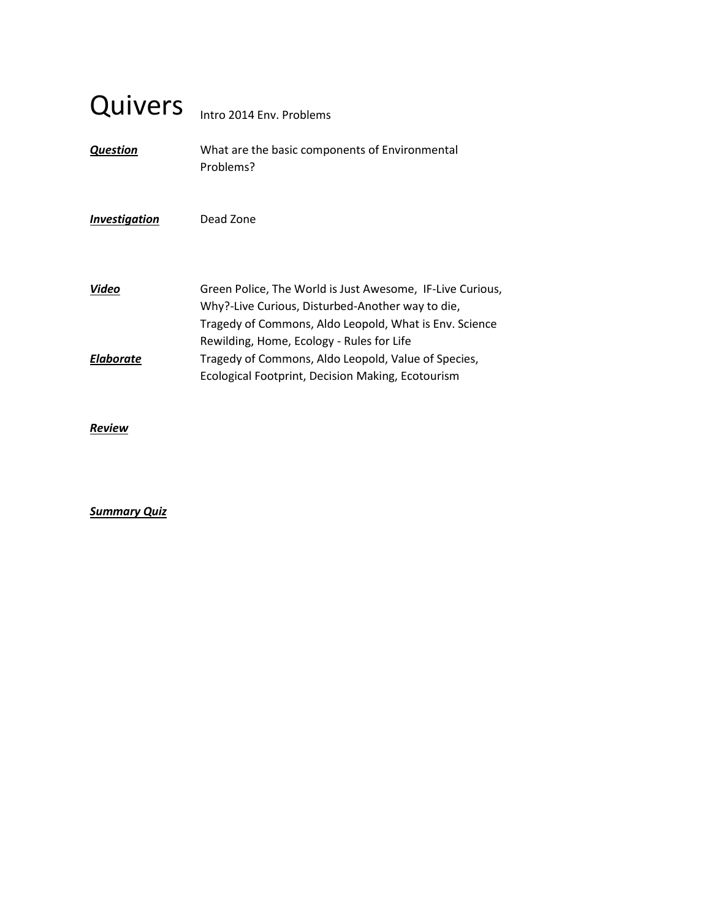# Quivers Intro 2014 Env. Problems

*Question* What are the basic components of Environmental Problems?

# *Investigation* Dead Zone

| Video            | Green Police, The World is Just Awesome, IF-Live Curious, |
|------------------|-----------------------------------------------------------|
|                  | Why?-Live Curious, Disturbed-Another way to die,          |
|                  | Tragedy of Commons, Aldo Leopold, What is Env. Science    |
|                  | Rewilding, Home, Ecology - Rules for Life                 |
| <b>Elaborate</b> | Tragedy of Commons, Aldo Leopold, Value of Species,       |
|                  | Ecological Footprint, Decision Making, Ecotourism         |

# *Review*

# *Summary Quiz*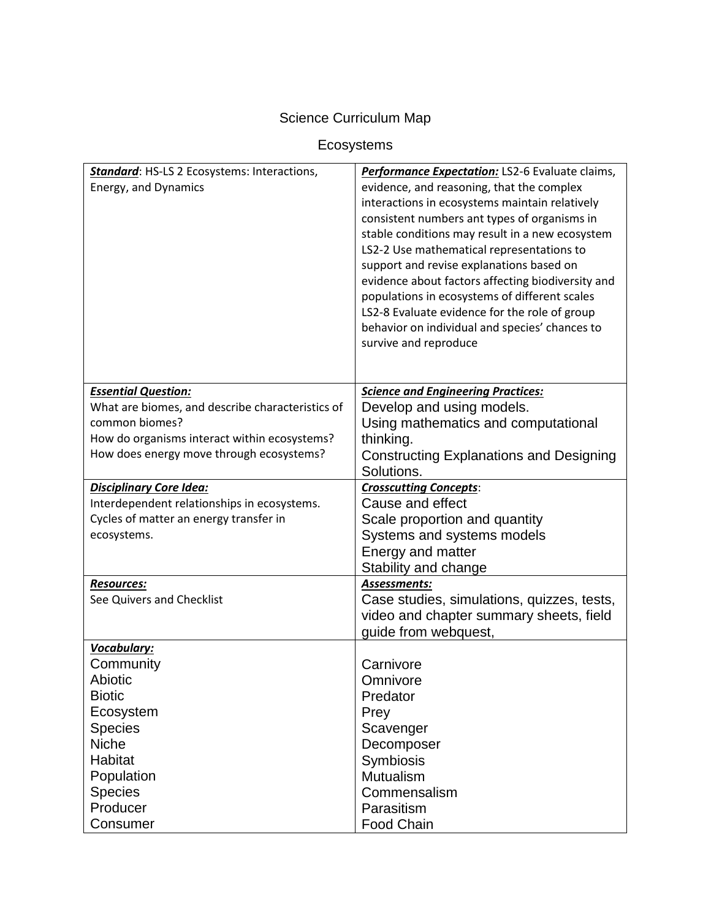# Science Curriculum Map

# Ecosystems

| <b>Standard:</b> HS-LS 2 Ecosystems: Interactions,<br>Energy, and Dynamics               | Performance Expectation: LS2-6 Evaluate claims,<br>evidence, and reasoning, that the complex<br>interactions in ecosystems maintain relatively<br>consistent numbers ant types of organisms in<br>stable conditions may result in a new ecosystem<br>LS2-2 Use mathematical representations to<br>support and revise explanations based on<br>evidence about factors affecting biodiversity and<br>populations in ecosystems of different scales |
|------------------------------------------------------------------------------------------|--------------------------------------------------------------------------------------------------------------------------------------------------------------------------------------------------------------------------------------------------------------------------------------------------------------------------------------------------------------------------------------------------------------------------------------------------|
|                                                                                          | LS2-8 Evaluate evidence for the role of group<br>behavior on individual and species' chances to<br>survive and reproduce                                                                                                                                                                                                                                                                                                                         |
| <b>Essential Question:</b>                                                               | <b>Science and Engineering Practices:</b>                                                                                                                                                                                                                                                                                                                                                                                                        |
| What are biomes, and describe characteristics of                                         | Develop and using models.                                                                                                                                                                                                                                                                                                                                                                                                                        |
| common biomes?                                                                           | Using mathematics and computational                                                                                                                                                                                                                                                                                                                                                                                                              |
| How do organisms interact within ecosystems?<br>How does energy move through ecosystems? | thinking.                                                                                                                                                                                                                                                                                                                                                                                                                                        |
|                                                                                          | <b>Constructing Explanations and Designing</b><br>Solutions.                                                                                                                                                                                                                                                                                                                                                                                     |
| <b>Disciplinary Core Idea:</b>                                                           | <b>Crosscutting Concepts:</b>                                                                                                                                                                                                                                                                                                                                                                                                                    |
| Interdependent relationships in ecosystems.                                              | Cause and effect                                                                                                                                                                                                                                                                                                                                                                                                                                 |
| Cycles of matter an energy transfer in                                                   | Scale proportion and quantity                                                                                                                                                                                                                                                                                                                                                                                                                    |
| ecosystems.                                                                              | Systems and systems models                                                                                                                                                                                                                                                                                                                                                                                                                       |
|                                                                                          | Energy and matter                                                                                                                                                                                                                                                                                                                                                                                                                                |
|                                                                                          | Stability and change                                                                                                                                                                                                                                                                                                                                                                                                                             |
| Resources:                                                                               | Assessments:                                                                                                                                                                                                                                                                                                                                                                                                                                     |
| See Quivers and Checklist                                                                | Case studies, simulations, quizzes, tests,                                                                                                                                                                                                                                                                                                                                                                                                       |
|                                                                                          | video and chapter summary sheets, field                                                                                                                                                                                                                                                                                                                                                                                                          |
|                                                                                          | guide from webquest,                                                                                                                                                                                                                                                                                                                                                                                                                             |
| Vocabulary:<br>Community                                                                 | Carnivore                                                                                                                                                                                                                                                                                                                                                                                                                                        |
| Abiotic                                                                                  | Omnivore                                                                                                                                                                                                                                                                                                                                                                                                                                         |
| <b>Biotic</b>                                                                            | Predator                                                                                                                                                                                                                                                                                                                                                                                                                                         |
| Ecosystem                                                                                | Prey                                                                                                                                                                                                                                                                                                                                                                                                                                             |
| <b>Species</b>                                                                           | Scavenger                                                                                                                                                                                                                                                                                                                                                                                                                                        |
| Niche                                                                                    | Decomposer                                                                                                                                                                                                                                                                                                                                                                                                                                       |
| Habitat                                                                                  | Symbiosis                                                                                                                                                                                                                                                                                                                                                                                                                                        |
| Population                                                                               | Mutualism                                                                                                                                                                                                                                                                                                                                                                                                                                        |
| <b>Species</b>                                                                           | Commensalism                                                                                                                                                                                                                                                                                                                                                                                                                                     |
| Producer                                                                                 | Parasitism                                                                                                                                                                                                                                                                                                                                                                                                                                       |
| Consumer                                                                                 | <b>Food Chain</b>                                                                                                                                                                                                                                                                                                                                                                                                                                |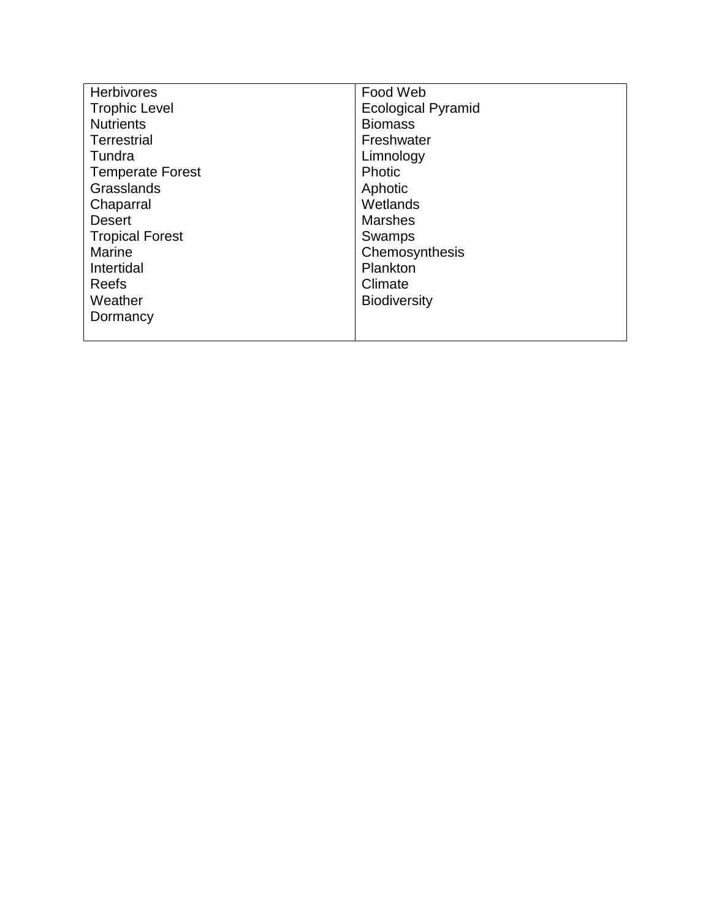| <b>Herbivores</b>       | Food Web                  |
|-------------------------|---------------------------|
| <b>Trophic Level</b>    | <b>Ecological Pyramid</b> |
| <b>Nutrients</b>        | <b>Biomass</b>            |
| Terrestrial             | Freshwater                |
| Tundra                  | Limnology                 |
| <b>Temperate Forest</b> | Photic                    |
| Grasslands              | Aphotic                   |
| Chaparral               | Wetlands                  |
| <b>Desert</b>           | <b>Marshes</b>            |
| <b>Tropical Forest</b>  | Swamps                    |
| <b>Marine</b>           | Chemosynthesis            |
| Intertidal              | Plankton                  |
| Reefs                   | Climate                   |
| Weather                 | <b>Biodiversity</b>       |
| Dormancy                |                           |
|                         |                           |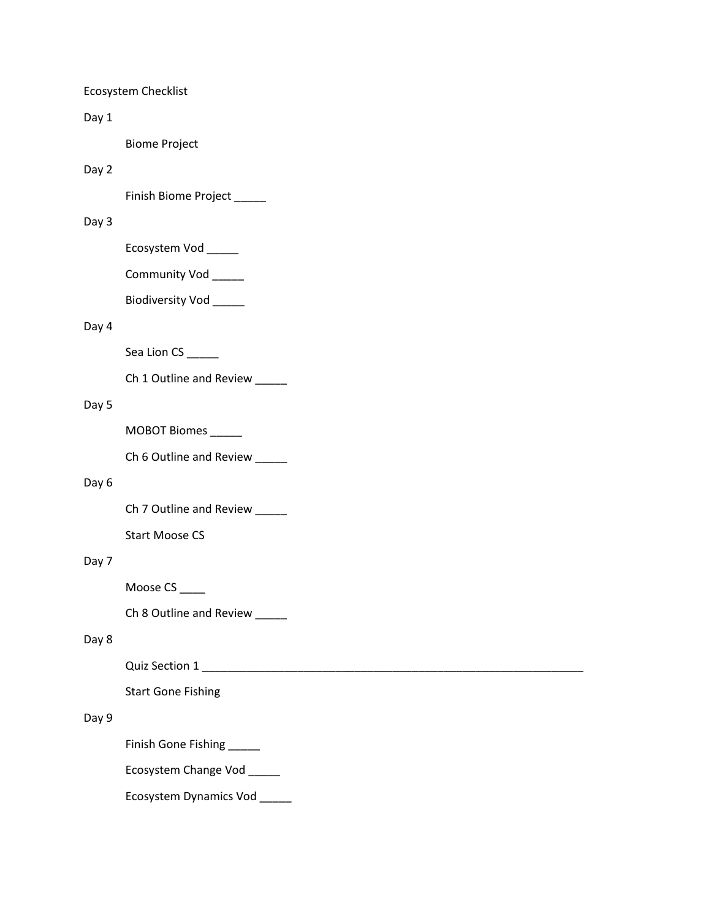Ecosystem Checklist

Day 1

Biome Project

# Day 2

Finish Biome Project \_\_\_\_\_

## Day 3

Ecosystem Vod \_\_\_\_\_

Community Vod \_\_\_\_\_

Biodiversity Vod \_\_\_\_\_

## Day 4

Sea Lion CS \_\_\_\_\_\_

Ch 1 Outline and Review \_\_\_\_\_

# Day 5

MOBOT Biomes \_\_\_\_\_

Ch 6 Outline and Review \_\_\_\_\_

#### Day 6

Ch 7 Outline and Review \_\_\_\_\_

Start Moose CS

# Day 7

Moose CS \_\_\_\_

Ch 8 Outline and Review \_\_\_\_\_

# Day 8

Quiz Section 1 \_\_\_\_\_\_\_\_\_\_\_\_\_\_\_\_\_\_\_\_\_\_\_\_\_\_\_\_\_\_\_\_\_\_\_\_\_\_\_\_\_\_\_\_\_\_\_\_\_\_\_\_\_\_\_\_\_\_\_\_

Start Gone Fishing

# Day 9

Finish Gone Fishing \_\_\_\_\_

Ecosystem Change Vod \_\_\_\_\_

Ecosystem Dynamics Vod \_\_\_\_\_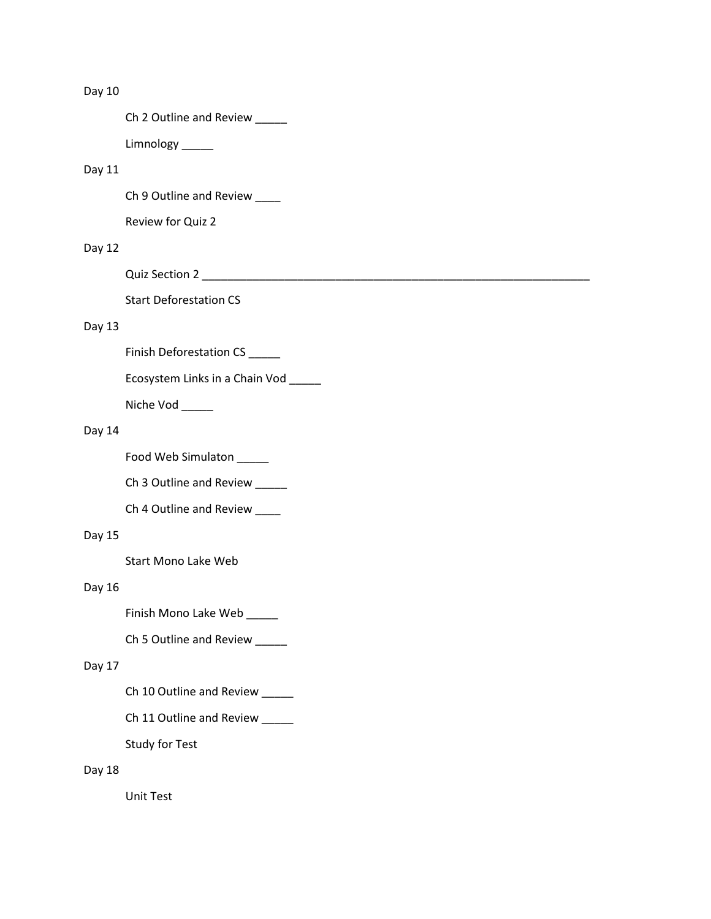# Day 10

Ch 2 Outline and Review \_\_\_\_\_

Limnology \_\_\_\_\_

# Day 11

Ch 9 Outline and Review \_\_\_\_\_

Review for Quiz 2

# Day 12

Quiz Section 2 \_\_\_\_\_\_\_\_\_\_\_\_\_\_\_\_\_\_\_\_\_\_\_\_\_\_\_\_\_\_\_\_\_\_\_\_\_\_\_\_\_\_\_\_\_\_\_\_\_\_\_\_\_\_\_\_\_\_\_\_\_

Start Deforestation CS

# Day 13

Finish Deforestation CS \_\_\_\_\_\_

Ecosystem Links in a Chain Vod \_\_\_\_\_

Niche Vod \_\_\_\_\_

# Day 14

Food Web Simulaton \_\_\_\_\_

Ch 3 Outline and Review \_\_\_\_\_

Ch 4 Outline and Review \_\_\_\_

## Day 15

Start Mono Lake Web

# Day 16

Finish Mono Lake Web \_\_\_\_\_

Ch 5 Outline and Review \_\_\_\_\_

#### Day 17

- Ch 10 Outline and Review \_\_\_\_\_
- Ch 11 Outline and Review \_\_\_\_\_

Study for Test

#### Day 18

Unit Test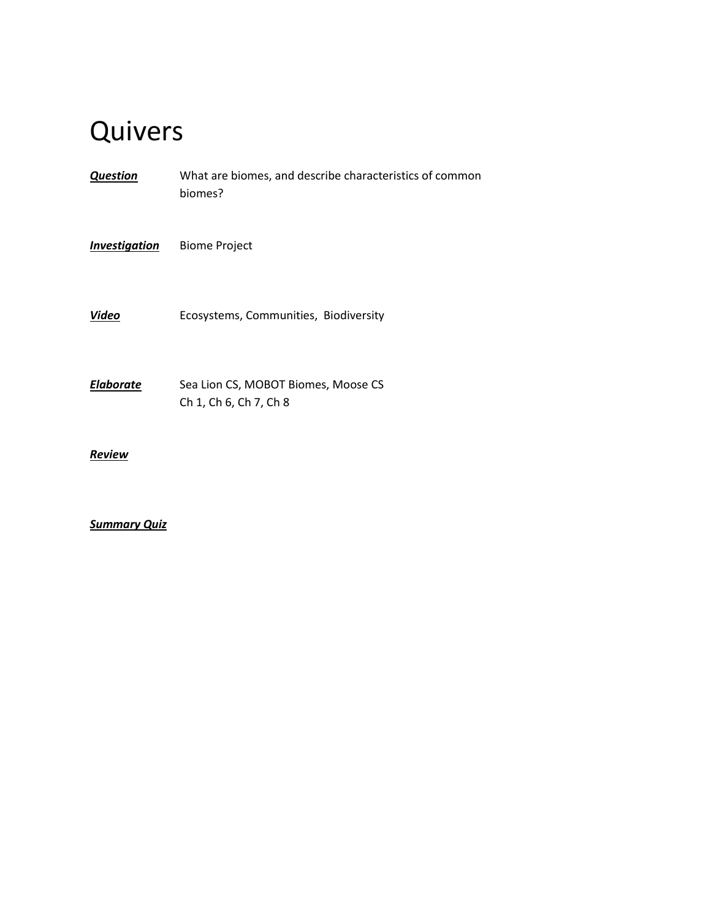| <b>Question</b>      | What are biomes, and describe characteristics of common<br>biomes? |
|----------------------|--------------------------------------------------------------------|
| <b>Investigation</b> | <b>Biome Project</b>                                               |
| <b>Video</b>         | Ecosystems, Communities, Biodiversity                              |
| <b>Elaborate</b>     | Sea Lion CS, MOBOT Biomes, Moose CS<br>Ch 1, Ch 6, Ch 7, Ch 8      |
| Review               |                                                                    |

# *Summary Quiz*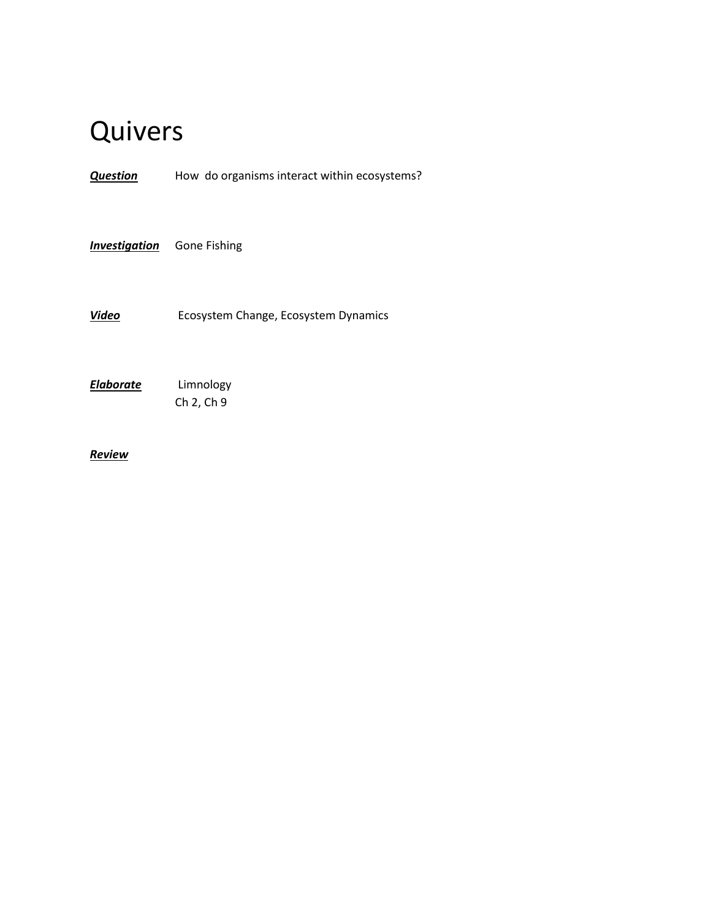*Question* How do organisms interact within ecosystems?

**Investigation** Gone Fishing

*Video* Ecosystem Change, Ecosystem Dynamics

*Elaborate* Limnology Ch 2, Ch 9

*Review*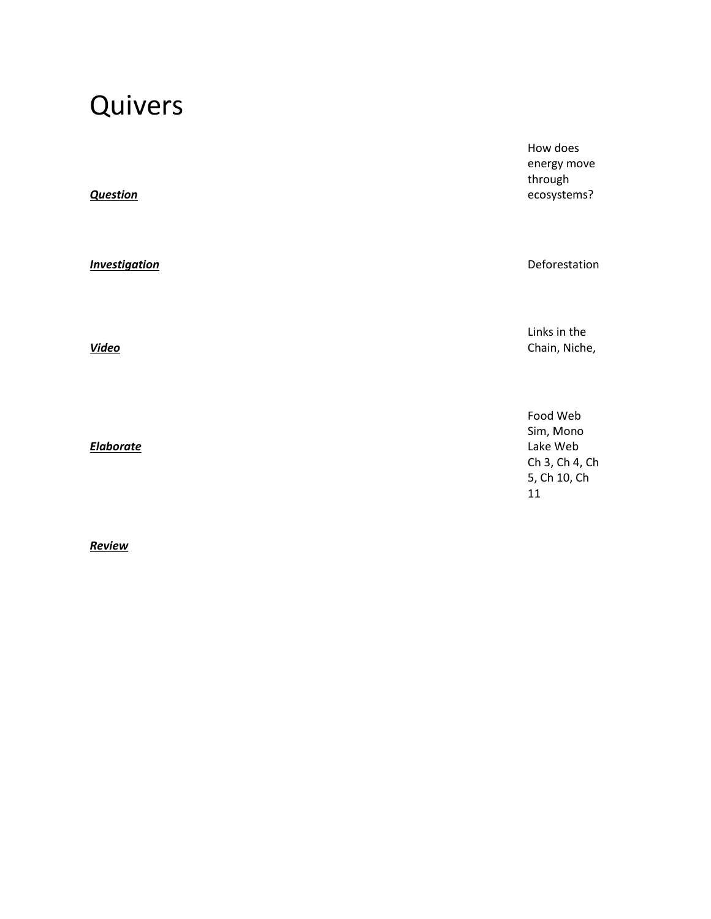*Question*

*Video*

*Elaborate*

*Review*

How does energy move through ecosystems?

**Investigation** Deforestation

Links in the Chain, Niche,

Food Web Sim, Mono Lake Web Ch 3, Ch 4, Ch 5, Ch 10, Ch 11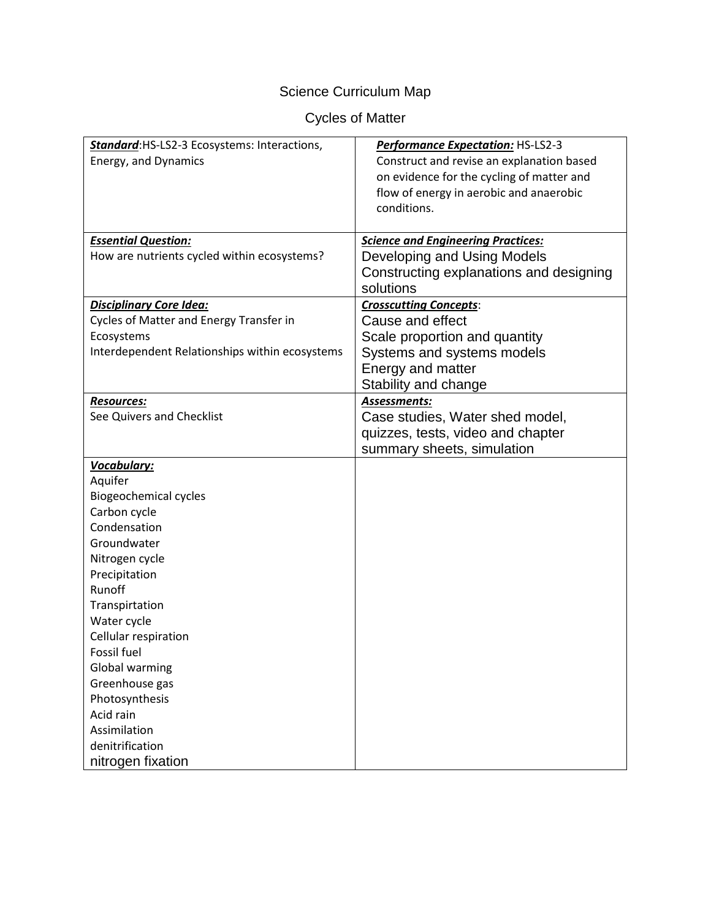# Science Curriculum Map

# Cycles of Matter

| Standard: HS-LS2-3 Ecosystems: Interactions,   | Performance Expectation: HS-LS2-3         |
|------------------------------------------------|-------------------------------------------|
| Energy, and Dynamics                           | Construct and revise an explanation based |
|                                                | on evidence for the cycling of matter and |
|                                                | flow of energy in aerobic and anaerobic   |
|                                                | conditions.                               |
|                                                |                                           |
| <b>Essential Question:</b>                     | <b>Science and Engineering Practices:</b> |
| How are nutrients cycled within ecosystems?    | Developing and Using Models               |
|                                                | Constructing explanations and designing   |
|                                                | solutions                                 |
| <b>Disciplinary Core Idea:</b>                 | <b>Crosscutting Concepts:</b>             |
| Cycles of Matter and Energy Transfer in        | Cause and effect                          |
| Ecosystems                                     | Scale proportion and quantity             |
| Interdependent Relationships within ecosystems | Systems and systems models                |
|                                                | Energy and matter                         |
|                                                | Stability and change                      |
| <b>Resources:</b>                              | Assessments:                              |
| See Quivers and Checklist                      | Case studies, Water shed model,           |
|                                                | quizzes, tests, video and chapter         |
|                                                | summary sheets, simulation                |
| Vocabulary:                                    |                                           |
| Aquifer                                        |                                           |
| <b>Biogeochemical cycles</b>                   |                                           |
| Carbon cycle                                   |                                           |
| Condensation                                   |                                           |
| Groundwater                                    |                                           |
| Nitrogen cycle                                 |                                           |
| Precipitation                                  |                                           |
| Runoff                                         |                                           |
| Transpirtation                                 |                                           |
| Water cycle                                    |                                           |
| Cellular respiration                           |                                           |
| Fossil fuel                                    |                                           |
| Global warming                                 |                                           |
| Greenhouse gas                                 |                                           |
| Photosynthesis                                 |                                           |
| Acid rain                                      |                                           |
| Assimilation                                   |                                           |
| denitrification                                |                                           |
| nitrogen fixation                              |                                           |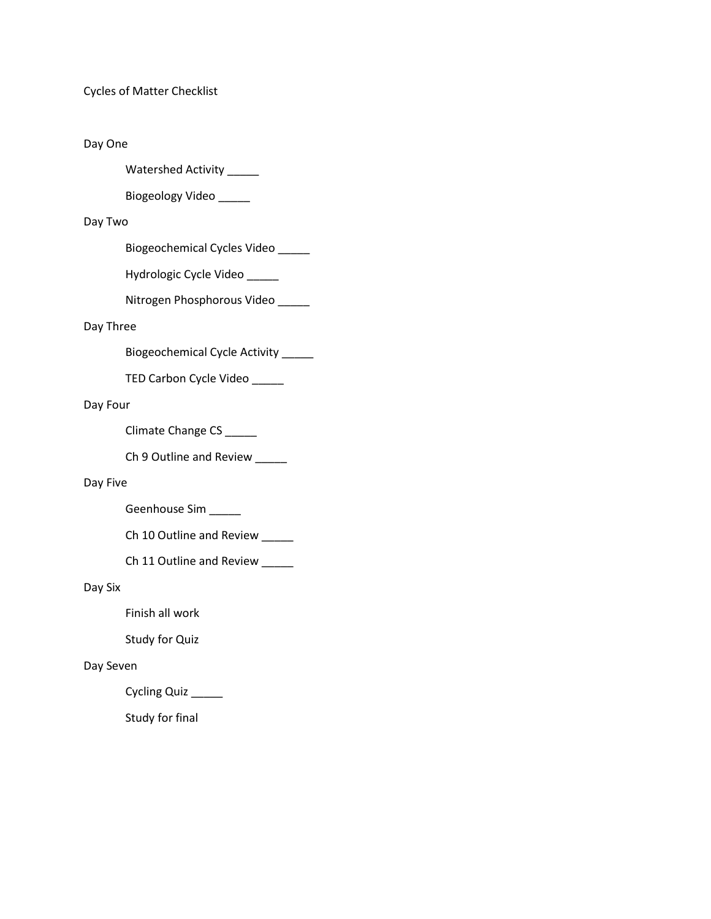Cycles of Matter Checklist

## Day One

Watershed Activity \_\_\_\_\_

Biogeology Video \_\_\_\_\_

## Day Two

Biogeochemical Cycles Video \_\_\_\_\_

Hydrologic Cycle Video \_\_\_\_\_

Nitrogen Phosphorous Video \_\_\_\_\_

# Day Three

Biogeochemical Cycle Activity \_\_\_\_\_

TED Carbon Cycle Video \_\_\_\_\_

## Day Four

Climate Change CS \_\_\_\_\_

Ch 9 Outline and Review \_\_\_\_\_

#### Day Five

Geenhouse Sim \_\_\_\_\_

Ch 10 Outline and Review \_\_\_\_\_

Ch 11 Outline and Review \_\_\_\_\_

### Day Six

Finish all work

Study for Quiz

#### Day Seven

Cycling Quiz \_\_\_\_\_

Study for final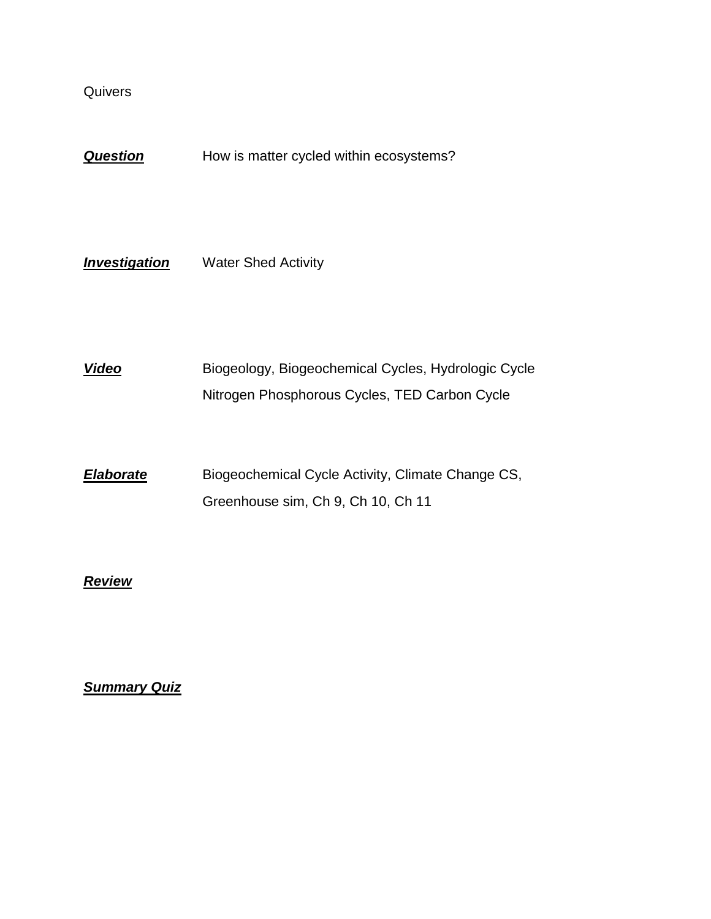**Question** How is matter cycled within ecosystems?

**Investigation** Water Shed Activity

*Video* Biogeology, Biogeochemical Cycles, Hydrologic Cycle Nitrogen Phosphorous Cycles, TED Carbon Cycle

**Elaborate** Biogeochemical Cycle Activity, Climate Change CS, Greenhouse sim, Ch 9, Ch 10, Ch 11

# *Review*

*Summary Quiz*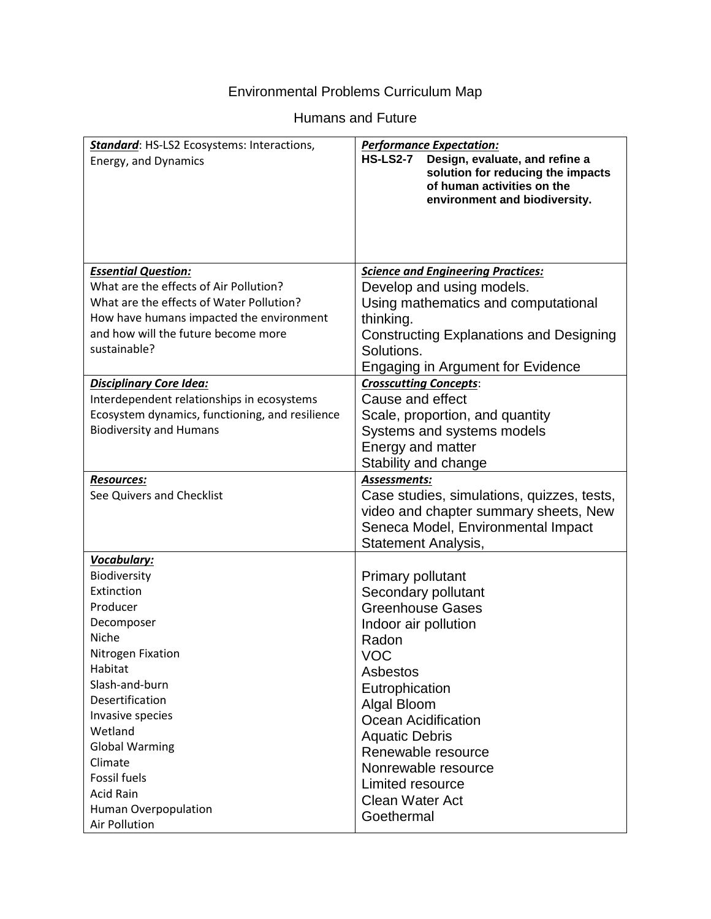# Environmental Problems Curriculum Map

# Humans and Future

| Standard: HS-LS2 Ecosystems: Interactions,      | <b>Performance Expectation:</b>                                                                                                                       |
|-------------------------------------------------|-------------------------------------------------------------------------------------------------------------------------------------------------------|
| Energy, and Dynamics                            | <b>HS-LS2-7</b><br>Design, evaluate, and refine a<br>solution for reducing the impacts<br>of human activities on the<br>environment and biodiversity. |
|                                                 |                                                                                                                                                       |
| <b>Essential Question:</b>                      | <b>Science and Engineering Practices:</b>                                                                                                             |
| What are the effects of Air Pollution?          | Develop and using models.                                                                                                                             |
| What are the effects of Water Pollution?        | Using mathematics and computational                                                                                                                   |
| How have humans impacted the environment        | thinking.                                                                                                                                             |
| and how will the future become more             | <b>Constructing Explanations and Designing</b>                                                                                                        |
| sustainable?                                    | Solutions.                                                                                                                                            |
|                                                 | <b>Engaging in Argument for Evidence</b>                                                                                                              |
| <b>Disciplinary Core Idea:</b>                  | <b>Crosscutting Concepts:</b>                                                                                                                         |
| Interdependent relationships in ecosystems      | Cause and effect                                                                                                                                      |
| Ecosystem dynamics, functioning, and resilience | Scale, proportion, and quantity                                                                                                                       |
| <b>Biodiversity and Humans</b>                  | Systems and systems models                                                                                                                            |
|                                                 | Energy and matter                                                                                                                                     |
|                                                 | Stability and change                                                                                                                                  |
| <b>Resources:</b>                               | Assessments:                                                                                                                                          |
| See Quivers and Checklist                       | Case studies, simulations, quizzes, tests,                                                                                                            |
|                                                 | video and chapter summary sheets, New                                                                                                                 |
|                                                 | Seneca Model, Environmental Impact                                                                                                                    |
|                                                 | Statement Analysis,                                                                                                                                   |
| Vocabulary:                                     |                                                                                                                                                       |
| Biodiversity                                    | <b>Primary pollutant</b>                                                                                                                              |
| Extinction<br>Producer                          | Secondary pollutant                                                                                                                                   |
|                                                 | <b>Greenhouse Gases</b>                                                                                                                               |
| Decomposer<br>Niche                             | Indoor air pollution                                                                                                                                  |
| Nitrogen Fixation                               | Radon                                                                                                                                                 |
| Habitat                                         | <b>VOC</b>                                                                                                                                            |
| Slash-and-burn                                  | Asbestos                                                                                                                                              |
| Desertification                                 | Eutrophication                                                                                                                                        |
| Invasive species                                | Algal Bloom                                                                                                                                           |
| Wetland                                         | <b>Ocean Acidification</b>                                                                                                                            |
| <b>Global Warming</b>                           | <b>Aquatic Debris</b><br>Renewable resource                                                                                                           |
| Climate                                         |                                                                                                                                                       |
| <b>Fossil fuels</b>                             | Nonrewable resource                                                                                                                                   |
| <b>Acid Rain</b>                                | Limited resource<br><b>Clean Water Act</b>                                                                                                            |
| Human Overpopulation                            |                                                                                                                                                       |
| Air Pollution                                   | Goethermal                                                                                                                                            |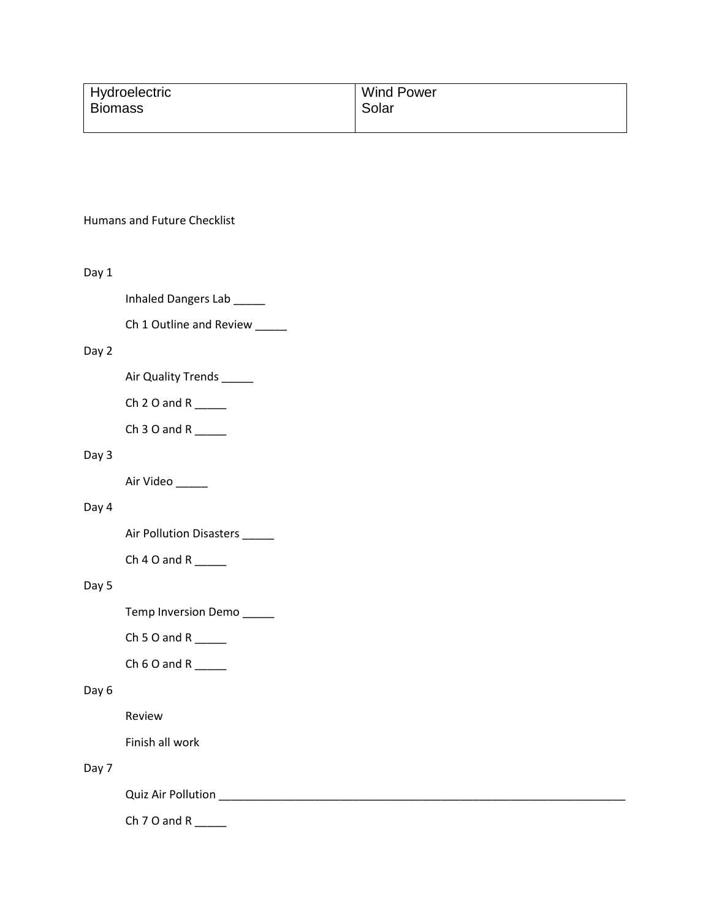| Hydroelectric  | <b>Wind Power</b> |
|----------------|-------------------|
| <b>Biomass</b> | Solar             |
|                |                   |

#### Humans and Future Checklist

#### Day 1

- Inhaled Dangers Lab \_\_\_\_\_
- Ch 1 Outline and Review \_\_\_\_\_

# Day 2

- Air Quality Trends \_\_\_\_\_
- Ch  $2$  O and R  $\qquad$
- Ch  $3$  O and R \_\_\_\_\_\_

# Day 3

Air Video \_\_\_\_\_\_

## Day 4

Air Pollution Disasters \_\_\_\_\_

Ch  $4$  O and R \_\_\_\_\_\_\_

# Day 5

Temp Inversion Demo \_\_\_\_\_

Ch 5 O and R  $\_\_\_\_\_\_\_\$ 

Ch  $6$  O and R \_\_\_\_\_\_

## Day 6

Review

Finish all work

# Day 7

Quiz Air Pollution \_\_\_\_\_\_\_\_\_\_\_\_\_\_\_\_\_\_\_\_\_\_\_\_\_\_\_\_\_\_\_\_\_\_\_\_\_\_\_\_\_\_\_\_\_\_\_\_\_\_\_\_\_\_\_\_\_\_\_\_\_\_\_\_

Ch  $7$  O and R \_\_\_\_\_\_\_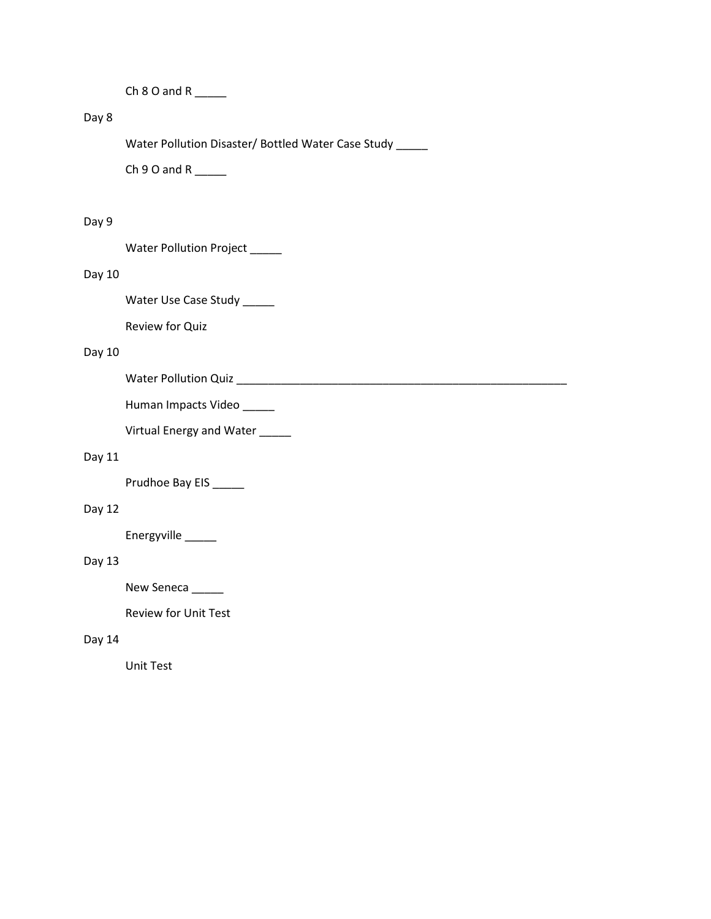Ch 8 O and R \_\_\_\_\_

# Day 8

Water Pollution Disaster/ Bottled Water Case Study \_\_\_\_\_

Ch  $9$  O and R \_\_\_\_\_\_\_

# Day 9

Water Pollution Project \_\_\_\_\_

# Day 10

Water Use Case Study \_\_\_\_\_

Review for Quiz

# Day 10

Water Pollution Quiz \_\_\_\_\_\_\_\_\_\_\_\_\_\_\_\_\_\_\_\_\_\_\_\_\_\_\_\_\_\_\_\_\_\_\_\_\_\_\_\_\_\_\_\_\_\_\_\_\_\_\_\_

Human Impacts Video \_\_\_\_\_

Virtual Energy and Water \_\_\_\_\_

# Day 11

Prudhoe Bay EIS \_\_\_\_\_

# Day 12

Energyville \_\_\_\_\_

# Day 13

New Seneca \_\_\_\_\_

Review for Unit Test

# Day 14

Unit Test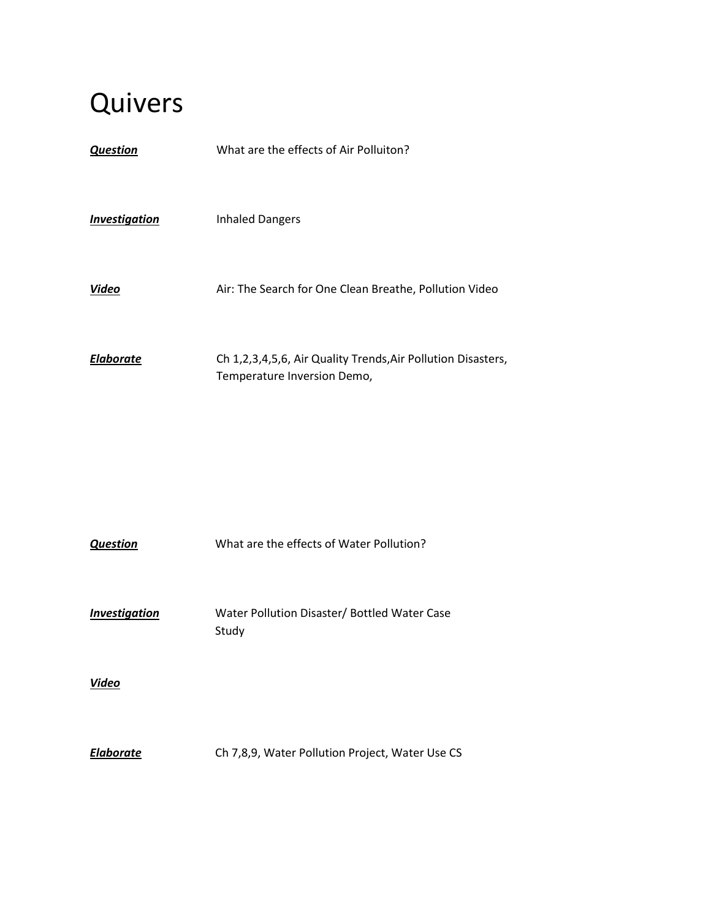| <b>Question</b>             | What are the effects of Air Polluiton?                                                      |
|-----------------------------|---------------------------------------------------------------------------------------------|
| <i><b>Investigation</b></i> | <b>Inhaled Dangers</b>                                                                      |
| Video                       | Air: The Search for One Clean Breathe, Pollution Video                                      |
| <b>Elaborate</b>            | Ch 1,2,3,4,5,6, Air Quality Trends, Air Pollution Disasters,<br>Temperature Inversion Demo, |

| <b>Question</b>      | What are the effects of Water Pollution?              |
|----------------------|-------------------------------------------------------|
| <b>Investigation</b> | Water Pollution Disaster/ Bottled Water Case<br>Study |
| Video                |                                                       |
| <b>Elaborate</b>     | Ch 7,8,9, Water Pollution Project, Water Use CS       |